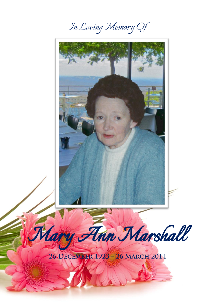*In Loving Memory Of*

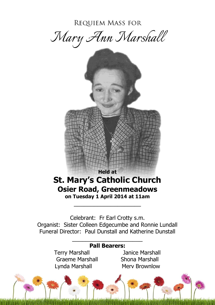**REQUIEM MASS FOR** 

*Mary Ann Marshall*



Celebrant: Fr Earl Crotty s.m. Organist: Sister Colleen Edgecumbe and Ronnie Lundall Funeral Director: Paul Dunstall and Katherine Dunstall

 $\frac{1}{2}$  ,  $\frac{1}{2}$  ,  $\frac{1}{2}$  ,  $\frac{1}{2}$  ,  $\frac{1}{2}$  ,  $\frac{1}{2}$  ,  $\frac{1}{2}$  ,  $\frac{1}{2}$  ,  $\frac{1}{2}$  ,  $\frac{1}{2}$  ,  $\frac{1}{2}$  ,  $\frac{1}{2}$  ,  $\frac{1}{2}$  ,  $\frac{1}{2}$  ,  $\frac{1}{2}$  ,  $\frac{1}{2}$  ,  $\frac{1}{2}$  ,  $\frac{1}{2}$  ,  $\frac{1$ 

**Pall Bearers:** Terry Marshall Janice Marshall Graeme Marshall Shona Marshall Lynda Marshall Merv Brownlow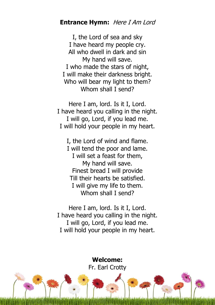### **Entrance Hymn:** Here I Am Lord

I, the Lord of sea and sky I have heard my people cry. All who dwell in dark and sin My hand will save. I who made the stars of night, I will make their darkness bright. Who will bear my light to them? Whom shall I send?

Here I am, lord. Is it I, Lord. I have heard you calling in the night. I will go, Lord, if you lead me. I will hold your people in my heart.

I, the Lord of wind and flame. I will tend the poor and lame. I will set a feast for them, My hand will save. Finest bread I will provide Till their hearts be satisfied. I will give my life to them. Whom shall I send?

Here I am, lord. Is it I, Lord. I have heard you calling in the night. I will go, Lord, if you lead me. I will hold your people in my heart.

> **Welcome:** Fr. Earl Crotty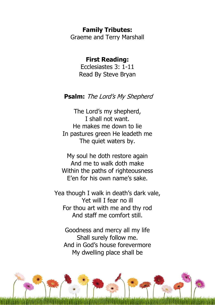#### **Family Tributes:**

Graeme and Terry Marshall

### **First Reading:**

Ecclesiastes 3: 1-11 Read By Steve Bryan

#### **Psalm:** The Lord's My Shepherd

The Lord's my shepherd, I shall not want. He makes me down to lie In pastures green He leadeth me The quiet waters by.

My soul he doth restore again And me to walk doth make Within the paths of righteousness E'en for his own name's sake.

Yea though I walk in death's dark vale, Yet will I fear no ill For thou art with me and thy rod And staff me comfort still.

Goodness and mercy all my life Shall surely follow me. And in God's house forevermore My dwelling place shall be

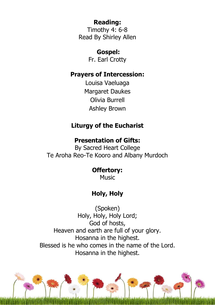## **Reading:**

Timothy 4: 6-8 Read By Shirley Allen

### **Gospel:**

Fr. Earl Crotty

### **Prayers of Intercession:**

Louisa Vaeluaga Margaret Daukes Olivia Burrell Ashley Brown

# **Liturgy of the Eucharist**

## **Presentation of Gifts:**

By Sacred Heart College Te Aroha Reo-Te Kooro and Albany Murdoch

# **Offertory:**

Music

# **Holy, Holy**

(Spoken) Holy, Holy, Holy Lord; God of hosts, Heaven and earth are full of your glory. Hosanna in the highest. Blessed is he who comes in the name of the Lord. Hosanna in the highest.

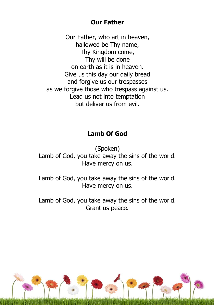### **Our Father**

Our Father, who art in heaven, hallowed be Thy name, Thy Kingdom come, Thy will be done on earth as it is in heaven. Give us this day our daily bread and forgive us our trespasses as we forgive those who trespass against us. Lead us not into temptation but deliver us from evil.

## **Lamb Of God**

(Spoken) Lamb of God, you take away the sins of the world. Have mercy on us.

Lamb of God, you take away the sins of the world. Have mercy on us.

Lamb of God, you take away the sins of the world. Grant us peace.

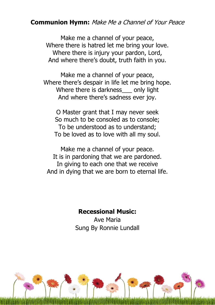### **Communion Hymn:** Make Me a Channel of Your Peace

Make me a channel of your peace, Where there is hatred let me bring your love. Where there is injury your pardon, Lord, And where there's doubt, truth faith in you.

Make me a channel of your peace, Where there's despair in life let me bring hope. Where there is darkness only light And where there's sadness ever joy.

O Master grant that I may never seek So much to be consoled as to console; To be understood as to understand; To be loved as to love with all my soul.

Make me a channel of your peace. It is in pardoning that we are pardoned. In giving to each one that we receive And in dying that we are born to eternal life.

### **Recessional Music:**

Ave Maria Sung By Ronnie Lundall